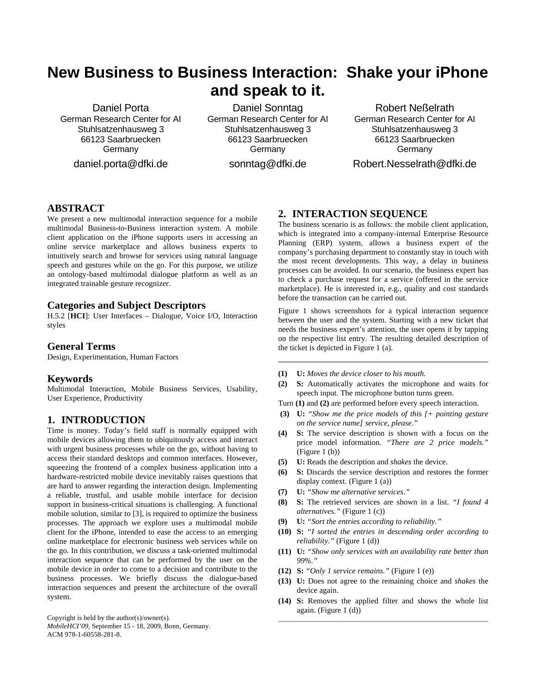# **New Business to Business Interaction: Shake your iPhone and speak to it.**

Daniel Porta German Research Center for AI Stuhlsatzenhausweg 3 66123 Saarbruecken Germany daniel.porta@dfki.de

Daniel Sonntag German Research Center for AI Stuhlsatzenhausweg 3 66123 Saarbruecken Germany sonntag@dfki.de

Robert Neßelrath German Research Center for AI Stuhlsatzenhausweg 3 66123 Saarbruecken **Germany** Robert.Nesselrath@dfki.de

# **ABSTRACT**

We present a new multimodal interaction sequence for a mobile multimodal Business-to-Business interaction system. A mobile client application on the iPhone supports users in accessing an online service marketplace and allows business experts to intuitively search and browse for services using natural language speech and gestures while on the go. For this purpose, we utilize an ontology-based multimodal dialogue platform as well as an integrated trainable gesture recognizer.

## **Categories and Subject Descriptors**

H.5.2 [**HCI**]: User Interfaces – Dialogue, Voice I/O, Interaction styles

#### **General Terms**

Design, Experimentation, Human Factors

#### **Keywords**

Multimodal Interaction, Mobile Business Services, Usability, User Experience, Productivity

# **1. INTRODUCTION**

Time is money. Today's field staff is normally equipped with mobile devices allowing them to ubiquitously access and interact with urgent business processes while on the go, without having to access their standard desktops and common interfaces. However, squeezing the frontend of a complex business application into a hardware-restricted mobile device inevitably raises questions that are hard to answer regarding the interaction design. Implementing a reliable, trustful, and usable mobile interface for decision support in business-critical situations is challenging. A functional mobile solution, similar to [\[3\]](#page-1-0), is required to optimize the business processes. The approach we explore uses a multimodal mobile client for the iPhone, intended to ease the access to an emerging online marketplace for electronic business web services while on the go. In this contribution, we discuss a task-oriented multimodal interaction sequence that can be performed by the user on the mobile device in order to come to a decision and contribute to the business processes. We briefly discuss the dialogue-based interaction sequences and present the architecture of the overall system.

Copyright is held by the author(s)/owner(s).

*MobileHCI'09*, September 15 - 18, 2009, Bonn, Germany. ACM 978-1-60558-281-8.

# **2. INTERACTION SEQUENCE**

The business scenario is as follows: the mobile client application, which is integrated into a company-internal Enterprise Resource Planning (ERP) system, allows a business expert of the company's purchasing department to constantly stay in touch with the most recent developments. This way, a delay in business processes can be avoided. In our scenario, the business expert has to check a purchase request for a service (offered in the service marketplace). He is interested in, e.g., quality and cost standards before the transaction can be carried out.

Figure 1 shows screenshots for a typical interaction sequence between the user and the system. Starting with a new ticket that needs the business expert's attention, the user opens it by tapping on the respective list entry. The resulting detailed description of the ticket is depicted in Figure 1 (a).

- **(1) U:** *Moves the device closer to his mouth.*
- **(2) S:** Automatically activates the microphone and waits for speech input. The microphone button turns green.
- Turn **(1)** and **(2)** are performed before every speech interaction.
- **(3) U:** *"Show me the price models of this [+ pointing gesture on the service name] service, please."*
- **(4) S:** The service description is shown with a focus on the price model information. *"There are 2 price models."* (Figure 1 (b))
- **(5) U:** Reads the description and *shakes* the device.
- **(6) S:** Discards the service description and restores the former display context. (Figure 1 (a))
- **(7) U:** *"Show me alternative services."*
- **(8) S:** The retrieved services are shown in a list. *"I found 4 alternatives."* (Figure 1 (c))
- **(9) U:** *"Sort the entries according to reliability."*
- **(10) S:** *"I sorted the entries in descending order according to reliability."* (Figure 1 (d))
- **(11) U:** *"Show only services with an availability rate better than 99%."*
- **(12) S:** *"Only 1 service remains."* (Figure 1 (e))
- **(13) U:** Does not agree to the remaining choice and *shakes* the device again.
- **(14) S:** Removes the applied filter and shows the whole list again. (Figure 1 (d))